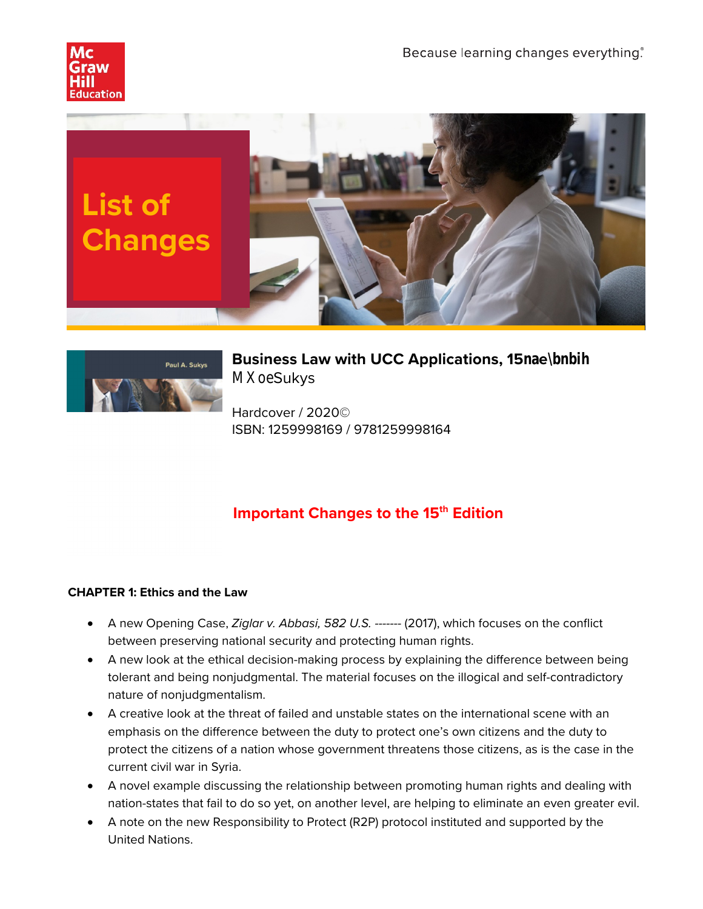



# **Business Law with UCC Applications, 15nae\bnbih MoeSukys**

Hardcover / 2020© ISBN: 1259998169 / 9781259998164

## Important Changes to the 15<sup>th</sup> Edition

#### **CHAPTER 1: Ethics and the Law**

- A new Opening Case, *Ziglar v. Abbasi, 582 U.S. -------* (2017), which focuses on the conflict between preserving national security and protecting human rights.
- A new look at the ethical decision-making process by explaining the difference between being tolerant and being nonjudgmental. The material focuses on the illogical and self-contradictory nature of nonjudgmentalism.
- A creative look at the threat of failed and unstable states on the international scene with an emphasis on the difference between the duty to protect one's own citizens and the duty to protect the citizens of a nation whose government threatens those citizens, as is the case in the current civil war in Syria.
- A novel example discussing the relationship between promoting human rights and dealing with nation-states that fail to do so yet, on another level, are helping to eliminate an even greater evil.
- A note on the new Responsibility to Protect (R2P) protocol instituted and supported by the United Nations.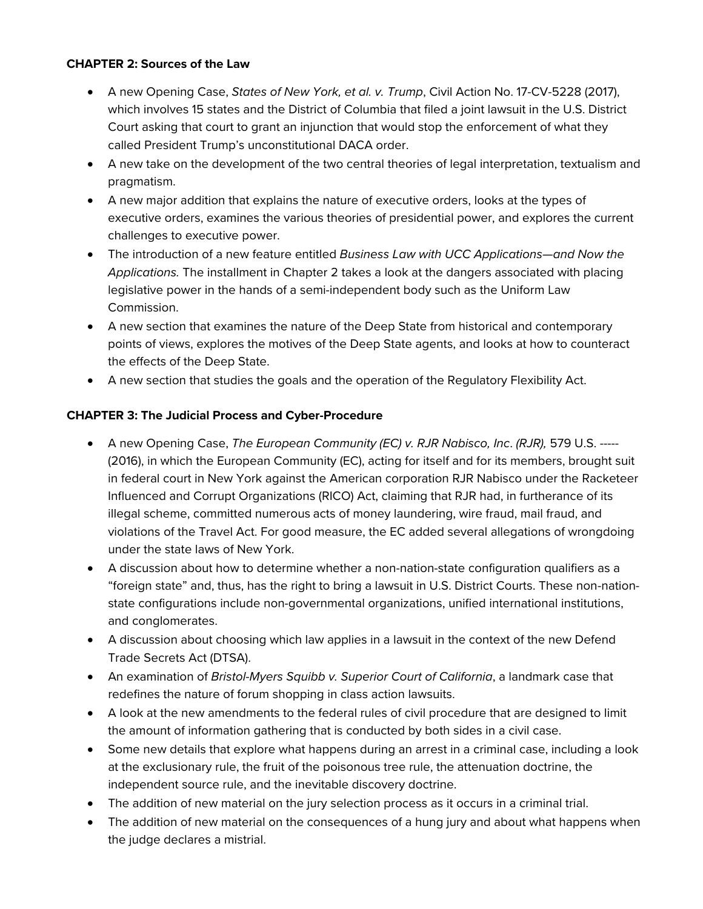#### **CHAPTER 2: Sources of the Law**

- A new Opening Case, *States of New York, et al. v. Trump*, Civil Action No. 17-CV-5228 (2017), which involves 15 states and the District of Columbia that filed a joint lawsuit in the U.S. District Court asking that court to grant an injunction that would stop the enforcement of what they called President Trump's unconstitutional DACA order.
- A new take on the development of the two central theories of legal interpretation, textualism and pragmatism.
- A new major addition that explains the nature of executive orders, looks at the types of executive orders, examines the various theories of presidential power, and explores the current challenges to executive power.
- The introduction of a new feature entitled *Business Law with UCC Applications—and Now the Applications.* The installment in Chapter 2 takes a look at the dangers associated with placing legislative power in the hands of a semi-independent body such as the Uniform Law Commission.
- A new section that examines the nature of the Deep State from historical and contemporary points of views, explores the motives of the Deep State agents, and looks at how to counteract the effects of the Deep State.
- A new section that studies the goals and the operation of the Regulatory Flexibility Act.

## **CHAPTER 3: The Judicial Process and Cyber-Procedure**

- A new Opening Case, *The European Community (EC) v. RJR Nabisco, Inc*. *(RJR),* 579 U.S. ----- (2016), in which the European Community (EC), acting for itself and for its members, brought suit in federal court in New York against the American corporation RJR Nabisco under the Racketeer Influenced and Corrupt Organizations (RICO) Act, claiming that RJR had, in furtherance of its illegal scheme, committed numerous acts of money laundering, wire fraud, mail fraud, and violations of the Travel Act. For good measure, the EC added several allegations of wrongdoing under the state laws of New York.
- A discussion about how to determine whether a non-nation-state configuration qualifiers as a "foreign state" and, thus, has the right to bring a lawsuit in U.S. District Courts. These non-nationstate configurations include non-governmental organizations, unified international institutions, and conglomerates.
- A discussion about choosing which law applies in a lawsuit in the context of the new Defend Trade Secrets Act (DTSA).
- An examination of *Bristol-Myers Squibb v. Superior Court of California*, a landmark case that redefines the nature of forum shopping in class action lawsuits.
- A look at the new amendments to the federal rules of civil procedure that are designed to limit the amount of information gathering that is conducted by both sides in a civil case.
- Some new details that explore what happens during an arrest in a criminal case, including a look at the exclusionary rule, the fruit of the poisonous tree rule, the attenuation doctrine, the independent source rule, and the inevitable discovery doctrine.
- The addition of new material on the jury selection process as it occurs in a criminal trial.
- The addition of new material on the consequences of a hung jury and about what happens when the judge declares a mistrial.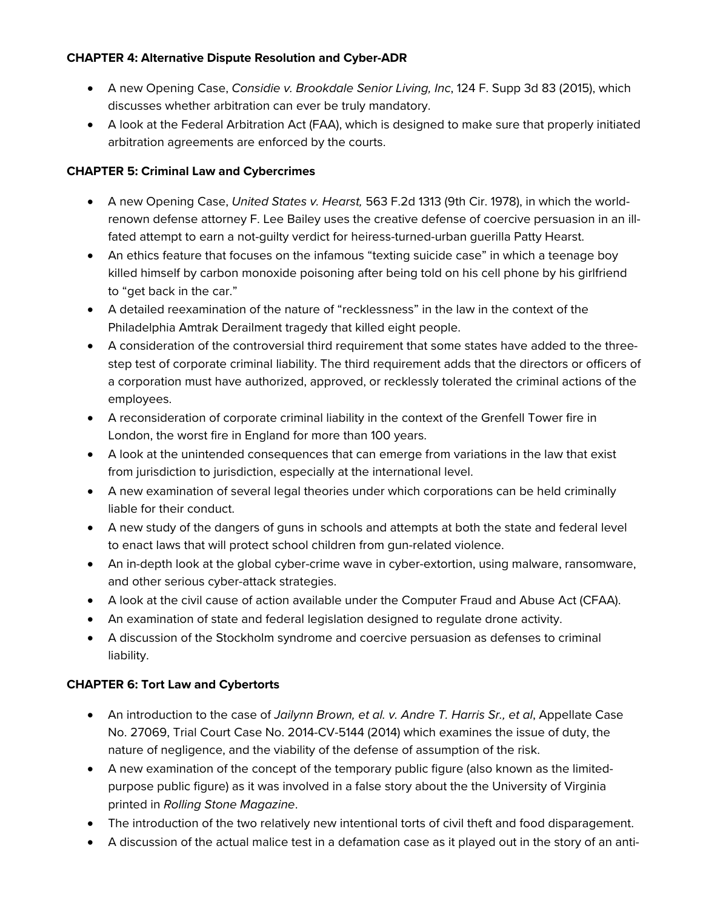#### **CHAPTER 4: Alternative Dispute Resolution and Cyber-ADR**

- A new Opening Case, *Considie v. Brookdale Senior Living, Inc*, 124 F. Supp 3d 83 (2015), which discusses whether arbitration can ever be truly mandatory.
- A look at the Federal Arbitration Act (FAA), which is designed to make sure that properly initiated arbitration agreements are enforced by the courts.

## **CHAPTER 5: Criminal Law and Cybercrimes**

- A new Opening Case, *United States v. Hearst,* 563 F.2d 1313 (9th Cir. 1978), in which the worldrenown defense attorney F. Lee Bailey uses the creative defense of coercive persuasion in an illfated attempt to earn a not-guilty verdict for heiress-turned-urban guerilla Patty Hearst.
- An ethics feature that focuses on the infamous "texting suicide case" in which a teenage boy killed himself by carbon monoxide poisoning after being told on his cell phone by his girlfriend to "get back in the car."
- A detailed reexamination of the nature of "recklessness" in the law in the context of the Philadelphia Amtrak Derailment tragedy that killed eight people.
- A consideration of the controversial third requirement that some states have added to the threestep test of corporate criminal liability. The third requirement adds that the directors or officers of a corporation must have authorized, approved, or recklessly tolerated the criminal actions of the employees.
- A reconsideration of corporate criminal liability in the context of the Grenfell Tower fire in London, the worst fire in England for more than 100 years.
- A look at the unintended consequences that can emerge from variations in the law that exist from jurisdiction to jurisdiction, especially at the international level.
- A new examination of several legal theories under which corporations can be held criminally liable for their conduct.
- A new study of the dangers of guns in schools and attempts at both the state and federal level to enact laws that will protect school children from gun-related violence.
- An in-depth look at the global cyber-crime wave in cyber-extortion, using malware, ransomware, and other serious cyber-attack strategies.
- A look at the civil cause of action available under the Computer Fraud and Abuse Act (CFAA).
- An examination of state and federal legislation designed to regulate drone activity.
- A discussion of the Stockholm syndrome and coercive persuasion as defenses to criminal liability.

## **CHAPTER 6: Tort Law and Cybertorts**

- An introduction to the case of *Jailynn Brown, et al. v. Andre T. Harris Sr., et al*, Appellate Case No. 27069, Trial Court Case No. 2014-CV-5144 (2014) which examines the issue of duty, the nature of negligence, and the viability of the defense of assumption of the risk.
- A new examination of the concept of the temporary public figure (also known as the limitedpurpose public figure) as it was involved in a false story about the the University of Virginia printed in *Rolling Stone Magazine*.
- The introduction of the two relatively new intentional torts of civil theft and food disparagement.
- A discussion of the actual malice test in a defamation case as it played out in the story of an anti-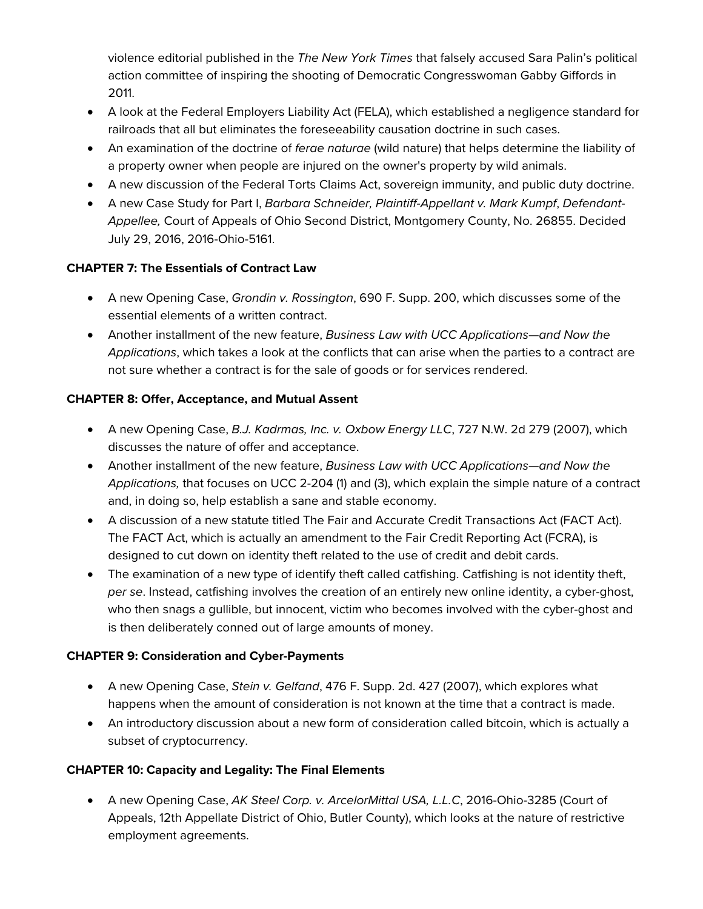violence editorial published in the *The New York Times* that falsely accused Sara Palin's political action committee of inspiring the shooting of Democratic Congresswoman Gabby Giffords in 2011.

- A look at the Federal Employers Liability Act (FELA), which established a negligence standard for railroads that all but eliminates the foreseeability causation doctrine in such cases.
- An examination of the doctrine of *ferae naturae* (wild nature) that helps determine the liability of a property owner when people are injured on the owner's property by wild animals.
- A new discussion of the Federal Torts Claims Act, sovereign immunity, and public duty doctrine.
- A new Case Study for Part I, *Barbara Schneider, Plaintiff-Appellant v. Mark Kumpf*, *Defendant-Appellee,* Court of Appeals of Ohio Second District, Montgomery County, No. 26855. Decided July 29, 2016, 2016-Ohio-5161.

## **CHAPTER 7: The Essentials of Contract Law**

- A new Opening Case, *Grondin v. Rossington*, 690 F. Supp. 200, which discusses some of the essential elements of a written contract.
- Another installment of the new feature, *Business Law with UCC Applications—and Now the Applications*, which takes a look at the conflicts that can arise when the parties to a contract are not sure whether a contract is for the sale of goods or for services rendered.

## **CHAPTER 8: Offer, Acceptance, and Mutual Assent**

- A new Opening Case, *B.J. Kadrmas, Inc. v. Oxbow Energy LLC*, 727 N.W. 2d 279 (2007), which discusses the nature of offer and acceptance.
- Another installment of the new feature, *Business Law with UCC Applications—and Now the Applications,* that focuses on UCC 2-204 (1) and (3), which explain the simple nature of a contract and, in doing so, help establish a sane and stable economy.
- A discussion of a new statute titled The Fair and Accurate Credit Transactions Act (FACT Act). The FACT Act, which is actually an amendment to the Fair Credit Reporting Act (FCRA), is designed to cut down on identity theft related to the use of credit and debit cards.
- The examination of a new type of identify theft called catfishing. Catfishing is not identity theft, *per se*. Instead, catfishing involves the creation of an entirely new online identity, a cyber-ghost, who then snags a gullible, but innocent, victim who becomes involved with the cyber-ghost and is then deliberately conned out of large amounts of money.

## **CHAPTER 9: Consideration and Cyber-Payments**

- A new Opening Case, *Stein v. Gelfand*, 476 F. Supp. 2d. 427 (2007), which explores what happens when the amount of consideration is not known at the time that a contract is made.
- An introductory discussion about a new form of consideration called bitcoin, which is actually a subset of cryptocurrency.

## **CHAPTER 10: Capacity and Legality: The Final Elements**

• A new Opening Case, *AK Steel Corp. v. ArcelorMittal USA, L.L.C*, 2016-Ohio-3285 (Court of Appeals, 12th Appellate District of Ohio, Butler County), which looks at the nature of restrictive employment agreements.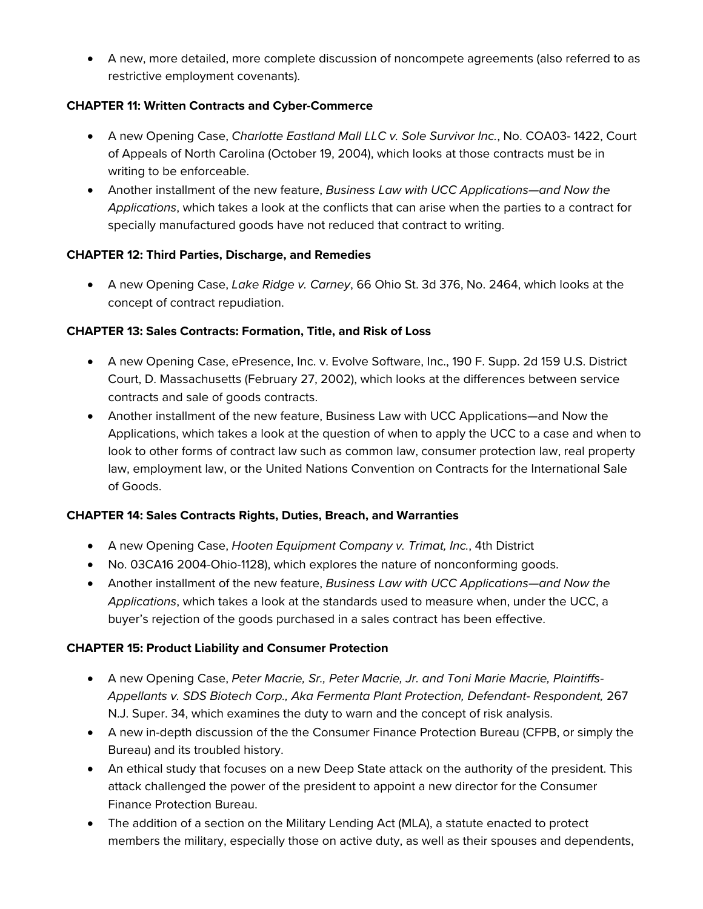• A new, more detailed, more complete discussion of noncompete agreements (also referred to as restrictive employment covenants).

## **CHAPTER 11: Written Contracts and Cyber-Commerce**

- A new Opening Case, *Charlotte Eastland Mall LLC v. Sole Survivor Inc.*, No. COA03- 1422, Court of Appeals of North Carolina (October 19, 2004), which looks at those contracts must be in writing to be enforceable.
- Another installment of the new feature, *Business Law with UCC Applications—and Now the Applications*, which takes a look at the conflicts that can arise when the parties to a contract for specially manufactured goods have not reduced that contract to writing.

## **CHAPTER 12: Third Parties, Discharge, and Remedies**

• A new Opening Case, *Lake Ridge v. Carney*, 66 Ohio St. 3d 376, No. 2464, which looks at the concept of contract repudiation.

## **CHAPTER 13: Sales Contracts: Formation, Title, and Risk of Loss**

- A new Opening Case, ePresence, Inc. v. Evolve Software, Inc., 190 F. Supp. 2d 159 U.S. District Court, D. Massachusetts (February 27, 2002), which looks at the differences between service contracts and sale of goods contracts.
- Another installment of the new feature, Business Law with UCC Applications—and Now the Applications, which takes a look at the question of when to apply the UCC to a case and when to look to other forms of contract law such as common law, consumer protection law, real property law, employment law, or the United Nations Convention on Contracts for the International Sale of Goods.

#### **CHAPTER 14: Sales Contracts Rights, Duties, Breach, and Warranties**

- A new Opening Case, *Hooten Equipment Company v. Trimat, Inc.*, 4th District
- No. 03CA16 2004-Ohio-1128), which explores the nature of nonconforming goods.
- Another installment of the new feature, *Business Law with UCC Applications—and Now the Applications*, which takes a look at the standards used to measure when, under the UCC, a buyer's rejection of the goods purchased in a sales contract has been effective.

#### **CHAPTER 15: Product Liability and Consumer Protection**

- A new Opening Case, *Peter Macrie, Sr., Peter Macrie, Jr. and Toni Marie Macrie, Plaintiffs-Appellants v. SDS Biotech Corp., Aka Fermenta Plant Protection, Defendant- Respondent,* 267 N.J. Super. 34, which examines the duty to warn and the concept of risk analysis.
- A new in-depth discussion of the the Consumer Finance Protection Bureau (CFPB, or simply the Bureau) and its troubled history.
- An ethical study that focuses on a new Deep State attack on the authority of the president. This attack challenged the power of the president to appoint a new director for the Consumer Finance Protection Bureau.
- The addition of a section on the Military Lending Act (MLA), a statute enacted to protect members the military, especially those on active duty, as well as their spouses and dependents,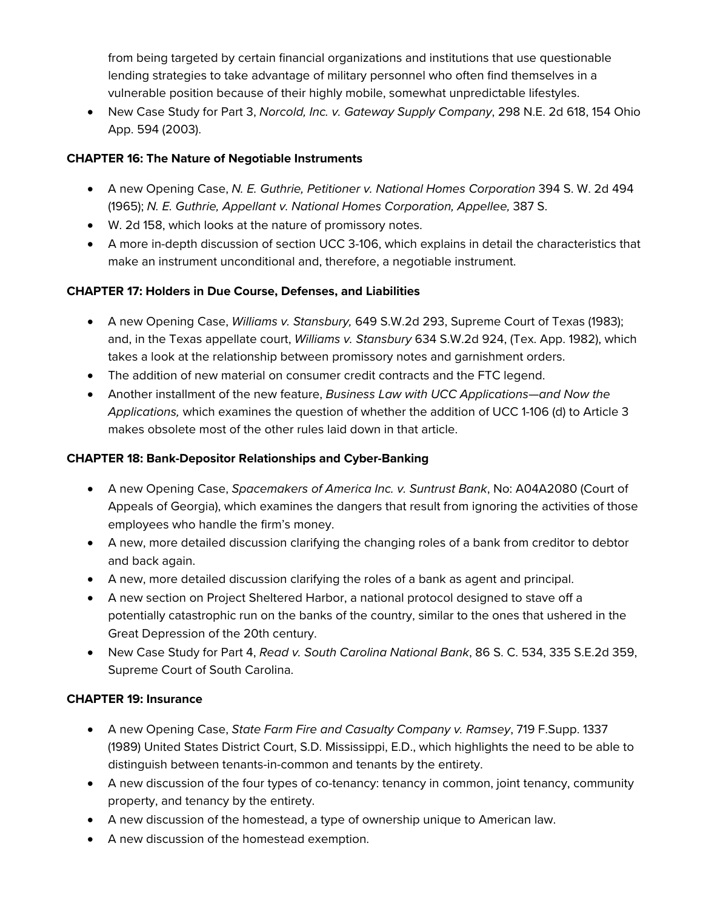from being targeted by certain financial organizations and institutions that use questionable lending strategies to take advantage of military personnel who often find themselves in a vulnerable position because of their highly mobile, somewhat unpredictable lifestyles.

• New Case Study for Part 3, *Norcold, Inc. v. Gateway Supply Company*, 298 N.E. 2d 618, 154 Ohio App. 594 (2003).

## **CHAPTER 16: The Nature of Negotiable Instruments**

- A new Opening Case, *N. E. Guthrie, Petitioner v. National Homes Corporation* 394 S. W. 2d 494 (1965); *N. E. Guthrie, Appellant v. National Homes Corporation, Appellee,* 387 S.
- W. 2d 158, which looks at the nature of promissory notes.
- A more in-depth discussion of section UCC 3-106, which explains in detail the characteristics that make an instrument unconditional and, therefore, a negotiable instrument.

## **CHAPTER 17: Holders in Due Course, Defenses, and Liabilities**

- A new Opening Case, *Williams v. Stansbury,* 649 S.W.2d 293, Supreme Court of Texas (1983); and, in the Texas appellate court, *Williams v. Stansbury* 634 S.W.2d 924, (Tex. App. 1982), which takes a look at the relationship between promissory notes and garnishment orders.
- The addition of new material on consumer credit contracts and the FTC legend.
- Another installment of the new feature, *Business Law with UCC Applications*—*and Now the Applications,* which examines the question of whether the addition of UCC 1-106 (d) to Article 3 makes obsolete most of the other rules laid down in that article.

## **CHAPTER 18: Bank-Depositor Relationships and Cyber-Banking**

- A new Opening Case, *Spacemakers of America Inc. v. Suntrust Bank*, No: A04A2080 (Court of Appeals of Georgia), which examines the dangers that result from ignoring the activities of those employees who handle the firm's money.
- A new, more detailed discussion clarifying the changing roles of a bank from creditor to debtor and back again.
- A new, more detailed discussion clarifying the roles of a bank as agent and principal.
- A new section on Project Sheltered Harbor, a national protocol designed to stave off a potentially catastrophic run on the banks of the country, similar to the ones that ushered in the Great Depression of the 20th century.
- New Case Study for Part 4, *Read v. South Carolina National Bank*, 86 S. C. 534, 335 S.E.2d 359, Supreme Court of South Carolina.

## **CHAPTER 19: Insurance**

- A new Opening Case, *State Farm Fire and Casualty Company v. Ramsey*, 719 F.Supp. 1337 (1989) United States District Court, S.D. Mississippi, E.D., which highlights the need to be able to distinguish between tenants-in-common and tenants by the entirety.
- A new discussion of the four types of co-tenancy: tenancy in common, joint tenancy, community property, and tenancy by the entirety.
- A new discussion of the homestead, a type of ownership unique to American law.
- A new discussion of the homestead exemption.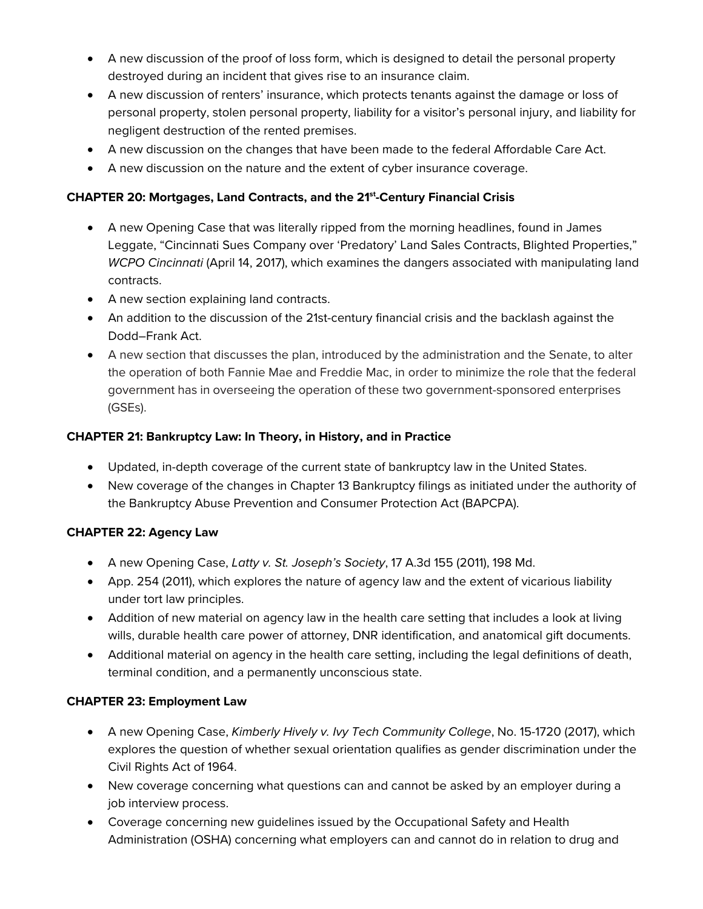- A new discussion of the proof of loss form, which is designed to detail the personal property destroyed during an incident that gives rise to an insurance claim.
- A new discussion of renters' insurance, which protects tenants against the damage or loss of personal property, stolen personal property, liability for a visitor's personal injury, and liability for negligent destruction of the rented premises.
- A new discussion on the changes that have been made to the federal Affordable Care Act.
- A new discussion on the nature and the extent of cyber insurance coverage.

## **CHAPTER 20: Mortgages, Land Contracts, and the 21st -Century Financial Crisis**

- A new Opening Case that was literally ripped from the morning headlines, found in James Leggate, "Cincinnati Sues Company over 'Predatory' Land Sales Contracts, Blighted Properties," *WCPO Cincinnati* (April 14, 2017), which examines the dangers associated with manipulating land contracts.
- A new section explaining land contracts.
- An addition to the discussion of the 21st-century financial crisis and the backlash against the Dodd–Frank Act.
- A new section that discusses the plan, introduced by the administration and the Senate, to alter the operation of both Fannie Mae and Freddie Mac, in order to minimize the role that the federal government has in overseeing the operation of these two government-sponsored enterprises (GSEs).

## **CHAPTER 21: Bankruptcy Law: In Theory, in History, and in Practice**

- Updated, in-depth coverage of the current state of bankruptcy law in the United States.
- New coverage of the changes in Chapter 13 Bankruptcy filings as initiated under the authority of the Bankruptcy Abuse Prevention and Consumer Protection Act (BAPCPA).

## **CHAPTER 22: Agency Law**

- A new Opening Case, *Latty v. St. Joseph's Society*, 17 A.3d 155 (2011), 198 Md.
- App. 254 (2011), which explores the nature of agency law and the extent of vicarious liability under tort law principles.
- Addition of new material on agency law in the health care setting that includes a look at living wills, durable health care power of attorney, DNR identification, and anatomical gift documents.
- Additional material on agency in the health care setting, including the legal definitions of death, terminal condition, and a permanently unconscious state.

## **CHAPTER 23: Employment Law**

- A new Opening Case, *Kimberly Hively v. Ivy Tech Community College*, No. 15-1720 (2017), which explores the question of whether sexual orientation qualifies as gender discrimination under the Civil Rights Act of 1964.
- New coverage concerning what questions can and cannot be asked by an employer during a job interview process.
- Coverage concerning new guidelines issued by the Occupational Safety and Health Administration (OSHA) concerning what employers can and cannot do in relation to drug and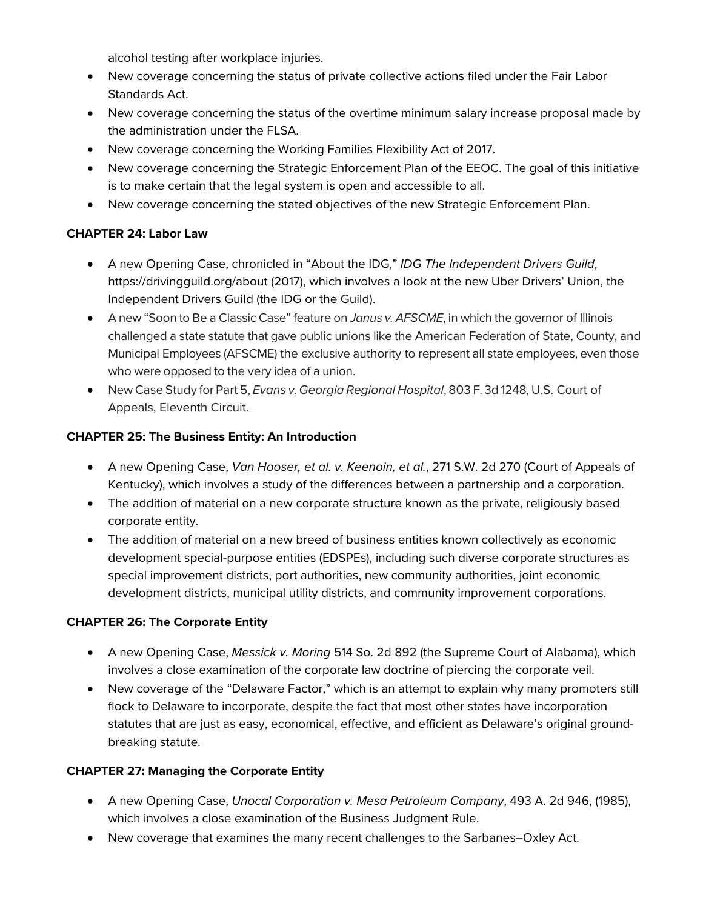alcohol testing after workplace injuries.

- New coverage concerning the status of private collective actions filed under the Fair Labor Standards Act.
- New coverage concerning the status of the overtime minimum salary increase proposal made by the administration under the FLSA.
- New coverage concerning the Working Families Flexibility Act of 2017.
- New coverage concerning the Strategic Enforcement Plan of the EEOC. The goal of this initiative is to make certain that the legal system is open and accessible to all.
- New coverage concerning the stated objectives of the new Strategic Enforcement Plan.

#### **CHAPTER 24: Labor Law**

- A new Opening Case, chronicled in "About the IDG," *IDG The Independent Drivers Guild*, https://drivingguild.org/about (2017), which involves a look at the new Uber Drivers' Union, the Independent Drivers Guild (the IDG or the Guild).
- A new "Soon to Be a Classic Case"feature on *Janus v. AFSCME*, in which the governor of Illinois challenged a state statute that gave public unions like the American Federation of State, County, and Municipal Employees (AFSCME) the exclusive authority to represent all state employees, even those who were opposed to the very idea of a union.
- New Case Study for Part 5, *Evans v. Georgia Regional Hospital*, 803 F. 3d 1248, U.S. Court of Appeals, Eleventh Circuit.

#### **CHAPTER 25: The Business Entity: An Introduction**

- A new Opening Case, *Van Hooser, et al. v. Keenoin, et al.*, 271 S.W. 2d 270 (Court of Appeals of Kentucky), which involves a study of the differences between a partnership and a corporation.
- The addition of material on a new corporate structure known as the private, religiously based corporate entity.
- The addition of material on a new breed of business entities known collectively as economic development special-purpose entities (EDSPEs), including such diverse corporate structures as special improvement districts, port authorities, new community authorities, joint economic development districts, municipal utility districts, and community improvement corporations.

#### **CHAPTER 26: The Corporate Entity**

- A new Opening Case, *Messick v. Moring* 514 So. 2d 892 (the Supreme Court of Alabama), which involves a close examination of the corporate law doctrine of piercing the corporate veil.
- New coverage of the "Delaware Factor," which is an attempt to explain why many promoters still flock to Delaware to incorporate, despite the fact that most other states have incorporation statutes that are just as easy, economical, effective, and efficient as Delaware's original groundbreaking statute.

## **CHAPTER 27: Managing the Corporate Entity**

- A new Opening Case, *Unocal Corporation v. Mesa Petroleum Company*, 493 A. 2d 946, (1985), which involves a close examination of the Business Judgment Rule.
- New coverage that examines the many recent challenges to the Sarbanes–Oxley Act.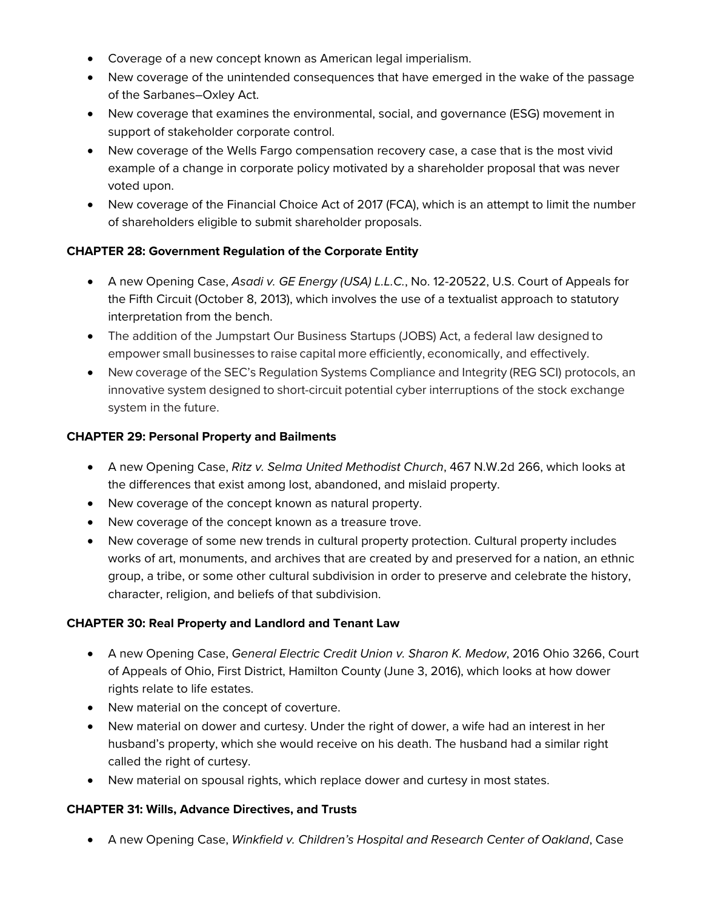- Coverage of a new concept known as American legal imperialism.
- New coverage of the unintended consequences that have emerged in the wake of the passage of the Sarbanes–Oxley Act.
- New coverage that examines the environmental, social, and governance (ESG) movement in support of stakeholder corporate control.
- New coverage of the Wells Fargo compensation recovery case, a case that is the most vivid example of a change in corporate policy motivated by a shareholder proposal that was never voted upon.
- New coverage of the Financial Choice Act of 2017 (FCA), which is an attempt to limit the number of shareholders eligible to submit shareholder proposals.

#### **CHAPTER 28: Government Regulation of the Corporate Entity**

- A new Opening Case, *Asadi v. GE Energy (USA) L.L.C.*, No. 12-20522, U.S. Court of Appeals for the Fifth Circuit (October 8, 2013), which involves the use of a textualist approach to statutory interpretation from the bench.
- The addition of the Jumpstart Our Business Startups (JOBS) Act, a federal law designed to empower small businesses to raise capital more efficiently, economically, and effectively.
- New coverage of the SEC's Regulation Systems Compliance and Integrity (REG SCI) protocols, an innovative system designed to short-circuit potential cyber interruptions of the stock exchange system in the future.

#### **CHAPTER 29: Personal Property and Bailments**

- A new Opening Case, *Ritz v. Selma United Methodist Church*, 467 N.W.2d 266, which looks at the differences that exist among lost, abandoned, and mislaid property.
- New coverage of the concept known as natural property.
- New coverage of the concept known as a treasure trove.
- New coverage of some new trends in cultural property protection. Cultural property includes works of art, monuments, and archives that are created by and preserved for a nation, an ethnic group, a tribe, or some other cultural subdivision in order to preserve and celebrate the history, character, religion, and beliefs of that subdivision.

#### **CHAPTER 30: Real Property and Landlord and Tenant Law**

- A new Opening Case, *General Electric Credit Union v. Sharon K. Medow*, 2016 Ohio 3266, Court of Appeals of Ohio, First District, Hamilton County (June 3, 2016), which looks at how dower rights relate to life estates.
- New material on the concept of coverture.
- New material on dower and curtesy. Under the right of dower, a wife had an interest in her husband's property, which she would receive on his death. The husband had a similar right called the right of curtesy.
- New material on spousal rights, which replace dower and curtesy in most states.

#### **CHAPTER 31: Wills, Advance Directives, and Trusts**

• A new Opening Case, *Winkfield v. Children's Hospital and Research Center of Oakland*, Case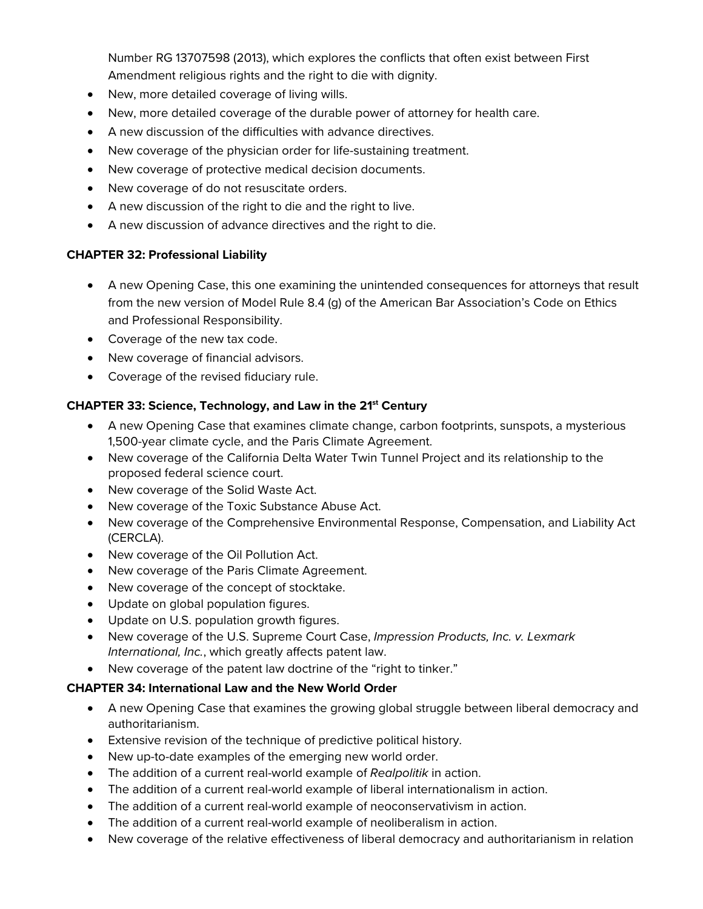Number RG 13707598 (2013), which explores the conflicts that often exist between First Amendment religious rights and the right to die with dignity.

- New, more detailed coverage of living wills.
- New, more detailed coverage of the durable power of attorney for health care.
- A new discussion of the difficulties with advance directives.
- New coverage of the physician order for life-sustaining treatment.
- New coverage of protective medical decision documents.
- New coverage of do not resuscitate orders.
- A new discussion of the right to die and the right to live.
- A new discussion of advance directives and the right to die.

#### **CHAPTER 32: Professional Liability**

- A new Opening Case, this one examining the unintended consequences for attorneys that result from the new version of Model Rule 8.4 (g) of the American Bar Association's Code on Ethics and Professional Responsibility.
- Coverage of the new tax code.
- New coverage of financial advisors.
- Coverage of the revised fiduciary rule.

## **CHAPTER 33: Science, Technology, and Law in the 21st Century**

- A new Opening Case that examines climate change, carbon footprints, sunspots, a mysterious 1,500-year climate cycle, and the Paris Climate Agreement.
- New coverage of the California Delta Water Twin Tunnel Project and its relationship to the proposed federal science court.
- New coverage of the Solid Waste Act.
- New coverage of the Toxic Substance Abuse Act.
- New coverage of the Comprehensive Environmental Response, Compensation, and Liability Act (CERCLA).
- New coverage of the Oil Pollution Act.
- New coverage of the Paris Climate Agreement.
- New coverage of the concept of stocktake.
- Update on global population figures.
- Update on U.S. population growth figures.
- New coverage of the U.S. Supreme Court Case, *Impression Products, Inc. v. Lexmark International, Inc.*, which greatly affects patent law.
- New coverage of the patent law doctrine of the "right to tinker."

#### **CHAPTER 34: International Law and the New World Order**

- A new Opening Case that examines the growing global struggle between liberal democracy and authoritarianism.
- Extensive revision of the technique of predictive political history.
- New up-to-date examples of the emerging new world order.
- The addition of a current real-world example of *Realpolitik* in action.
- The addition of a current real-world example of liberal internationalism in action.
- The addition of a current real-world example of neoconservativism in action.
- The addition of a current real-world example of neoliberalism in action.
- New coverage of the relative effectiveness of liberal democracy and authoritarianism in relation